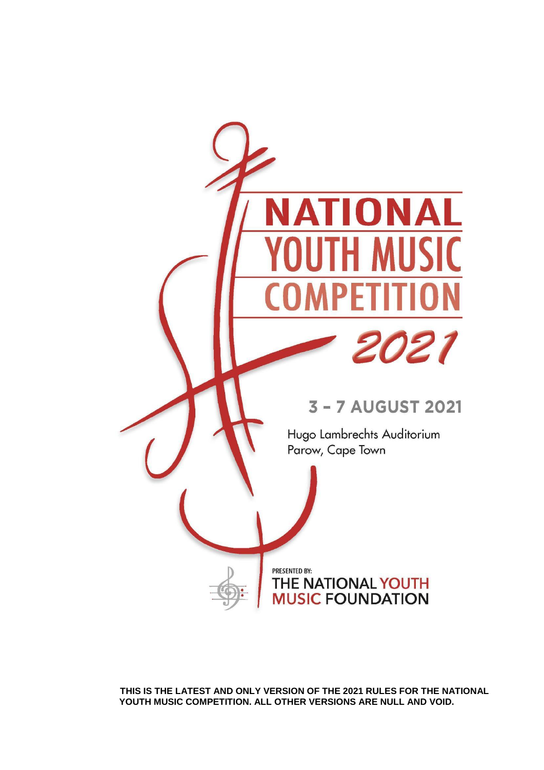

**THIS IS THE LATEST AND ONLY VERSION OF THE 2021 RULES FOR THE NATIONAL YOUTH MUSIC COMPETITION. ALL OTHER VERSIONS ARE NULL AND VOID.**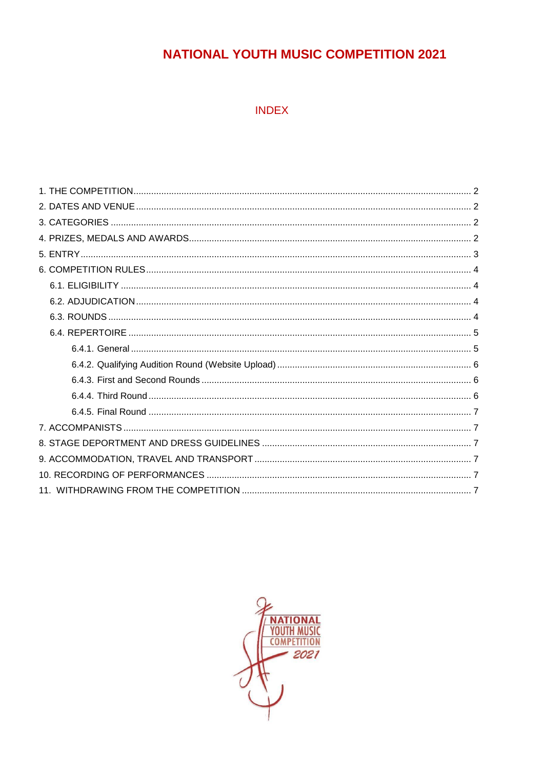# **NATIONAL YOUTH MUSIC COMPETITION 2021**

# **INDEX**

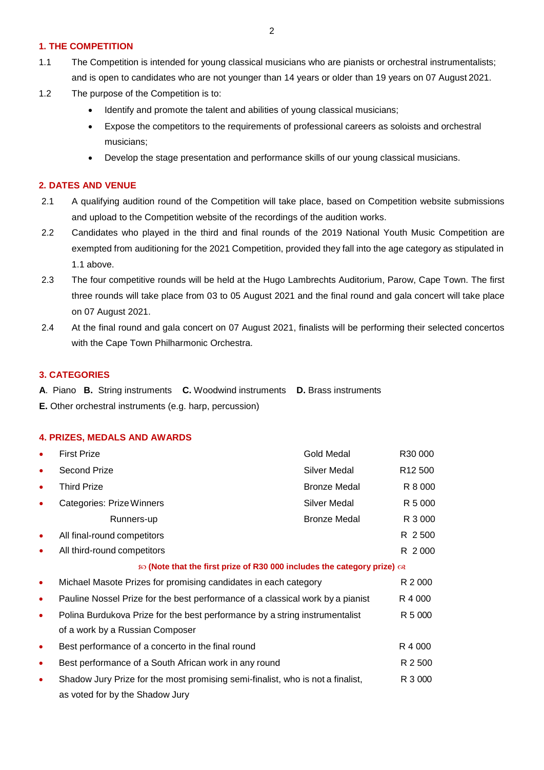2

# <span id="page-2-0"></span>**1. THE COMPETITION**

- 1.1 The Competition is intended for young classical musicians who are pianists or orchestral instrumentalists; and is open to candidates who are not younger than 14 years or older than 19 years on 07 August 2021.
- 1.2 The purpose of the Competition is to:
	- Identify and promote the talent and abilities of young classical musicians;
	- Expose the competitors to the requirements of professional careers as soloists and orchestral musicians;
	- Develop the stage presentation and performance skills of our young classical musicians.

# <span id="page-2-1"></span>**2. DATES AND VENUE**

- 2.1 A qualifying audition round of the Competition will take place, based on Competition website submissions and upload to the Competition website of the recordings of the audition works.
- 2.2 Candidates who played in the third and final rounds of the 2019 National Youth Music Competition are exempted from auditioning for the 2021 Competition, provided they fall into the age category as stipulated in 1.1 above.
- 2.3 The four competitive rounds will be held at the Hugo Lambrechts Auditorium, Parow, Cape Town. The first three rounds will take place from 03 to 05 August 2021 and the final round and gala concert will take place on 07 August 2021.
- 2.4 At the final round and gala concert on 07 August 2021, finalists will be performing their selected concertos with the Cape Town Philharmonic Orchestra.

# <span id="page-2-2"></span>**3. CATEGORIES**

**A**. Piano **B.** String instruments **C.** Woodwind instruments **D.** Brass instruments

**E.** Other orchestral instruments (e.g. harp, percussion)

#### <span id="page-2-3"></span>**4. PRIZES, MEDALS AND AWARDS**

|           | <b>First Prize</b>                                                                        | Gold Medal          | R30 000             |  |  |
|-----------|-------------------------------------------------------------------------------------------|---------------------|---------------------|--|--|
| ٠         | Second Prize                                                                              | Silver Medal        | R <sub>12</sub> 500 |  |  |
| ٠         | <b>Third Prize</b>                                                                        | <b>Bronze Medal</b> | R 8 000             |  |  |
|           | Categories: Prize Winners                                                                 | Silver Medal        | R 5 000             |  |  |
|           | Runners-up                                                                                | <b>Bronze Medal</b> | R 3 000             |  |  |
| ٠         | All final-round competitors                                                               |                     | R 2500              |  |  |
|           | All third-round competitors                                                               |                     | R 2000              |  |  |
|           | $\infty$ (Note that the first prize of R30 000 includes the category prize) $\infty$      |                     |                     |  |  |
| $\bullet$ | Michael Masote Prizes for promising candidates in each category                           |                     | R 2 000             |  |  |
| ٠         | Pauline Nossel Prize for the best performance of a classical work by a pianist<br>R 4 000 |                     |                     |  |  |
| ٠         | Polina Burdukova Prize for the best performance by a string instrumentalist               |                     |                     |  |  |
|           | of a work by a Russian Composer                                                           |                     |                     |  |  |
| ٠         | Best performance of a concerto in the final round                                         |                     | R 4 000             |  |  |
| ٠         | Best performance of a South African work in any round                                     |                     | R 2 500             |  |  |
| ٠         | Shadow Jury Prize for the most promising semi-finalist, who is not a finalist,            |                     | R 3 000             |  |  |
|           | as voted for by the Shadow Jury                                                           |                     |                     |  |  |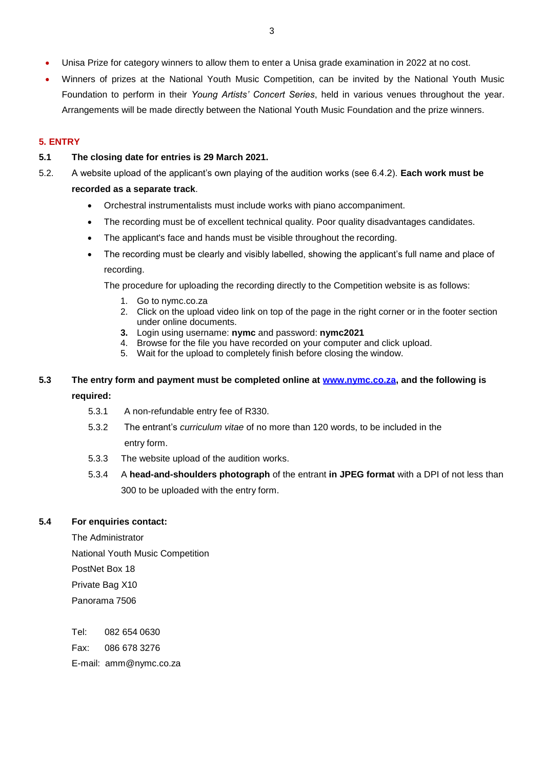- <span id="page-3-1"></span>• Unisa Prize for category winners to allow them to enter a Unisa grade examination in 2022 at no cost.
- Winners of prizes at the National Youth Music Competition, can be invited by the National Youth Music Foundation to perform in their *Young Artists' Concert Series*, held in various venues throughout the year. Arrangements will be made directly between the National Youth Music Foundation and the prize winners.

#### <span id="page-3-0"></span>**5. ENTRY**

# **5.1 The closing date for entries is 29 March 2021.**

- 5.2. A website upload of the applicant's own playing of the audition works (see 6.4.2). **Each work must be recorded as a separate track**.
	- Orchestral instrumentalists must include works with piano accompaniment.
	- The recording must be of excellent technical quality. Poor quality disadvantages candidates.
	- The applicant's face and hands must be visible throughout the recording.
	- The recording must be clearly and visibly labelled, showing the applicant's full name and place of recording.

The procedure for uploading the recording directly to the Competition website is as follows:

- 1. Go to nymc.co.za
- 2. Click on the upload video link on top of the page in the right corner or in the footer section under online documents.
- **3.** Login using username: **nymc** and password: **nymc2021**
- 4. Browse for the file you have recorded on your computer and click upload.
- 5. Wait for the upload to completely finish before closing the window.

# **5.3 The entry form and payment must be completed online at [www.nymc.co.za,](http://www.nymc.co.za/) and the following is required:**

- 5.3.1 A non-refundable entry fee of R330.
- 5.3.2 The entrant's *curriculum vitae* of no more than 120 words, to be included in the entry form.
- 5.3.3 The website upload of the audition works.
- 5.3.4 A **head-and-shoulders photograph** of the entrant **in JPEG format** with a DPI of not less than 300 to be uploaded with the entry form.

# **5.4 For enquiries contact:**

The Administrator National Youth Music Competition PostNet Box 18 Private Bag X10 Panorama 7506

Tel: 082 654 0630

Fax: 086 678 3276

E-mail: [amm@nymc.co.za](mailto:amm@nymc.co.za)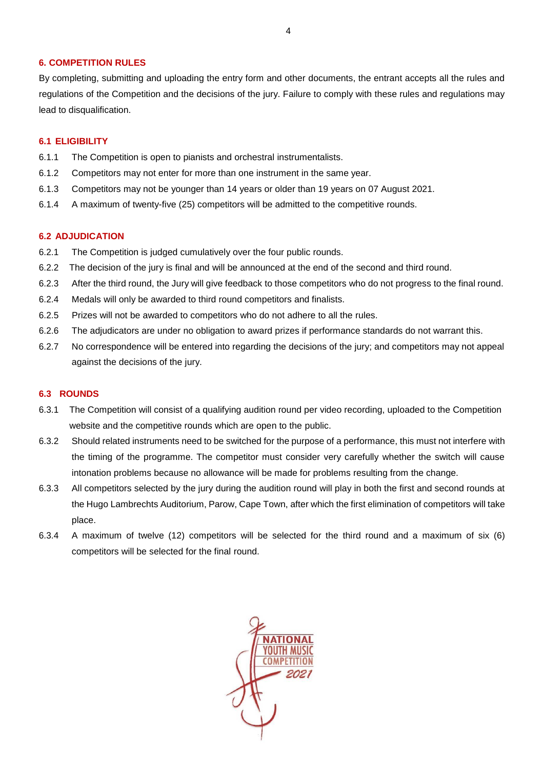# **6. COMPETITION RULES**

By completing, submitting and uploading the entry form and other documents, the entrant accepts all the rules and regulations of the Competition and the decisions of the jury. Failure to comply with these rules and regulations may lead to disqualification.

#### <span id="page-4-0"></span>**6.1 ELIGIBILITY**

- 6.1.1 The Competition is open to pianists and orchestral instrumentalists.
- 6.1.2 Competitors may not enter for more than one instrument in the same year.
- 6.1.3 Competitors may not be younger than 14 years or older than 19 years on 07 August 2021.
- 6.1.4 A maximum of twenty-five (25) competitors will be admitted to the competitive rounds.

#### <span id="page-4-1"></span>**6.2 ADJUDICATION**

- 6.2.1 The Competition is judged cumulatively over the four public rounds.
- 6.2.2 The decision of the jury is final and will be announced at the end of the second and third round.
- 6.2.3 After the third round, the Jury will give feedback to those competitors who do not progress to the final round.
- 6.2.4 Medals will only be awarded to third round competitors and finalists.
- 6.2.5 Prizes will not be awarded to competitors who do not adhere to all the rules.
- 6.2.6 The adjudicators are under no obligation to award prizes if performance standards do not warrant this.
- 6.2.7 No correspondence will be entered into regarding the decisions of the jury; and competitors may not appeal against the decisions of the jury.

#### <span id="page-4-2"></span>**6.3 ROUNDS**

- 6.3.1 The Competition will consist of a qualifying audition round per video recording, uploaded to the Competition website and the competitive rounds which are open to the public.
- 6.3.2 Should related instruments need to be switched for the purpose of a performance, this must not interfere with the timing of the programme. The competitor must consider very carefully whether the switch will cause intonation problems because no allowance will be made for problems resulting from the change.
- 6.3.3 All competitors selected by the jury during the audition round will play in both the first and second rounds at the Hugo Lambrechts Auditorium, Parow, Cape Town, after which the first elimination of competitors will take place.
- 6.3.4 A maximum of twelve (12) competitors will be selected for the third round and a maximum of six (6) competitors will be selected for the final round.



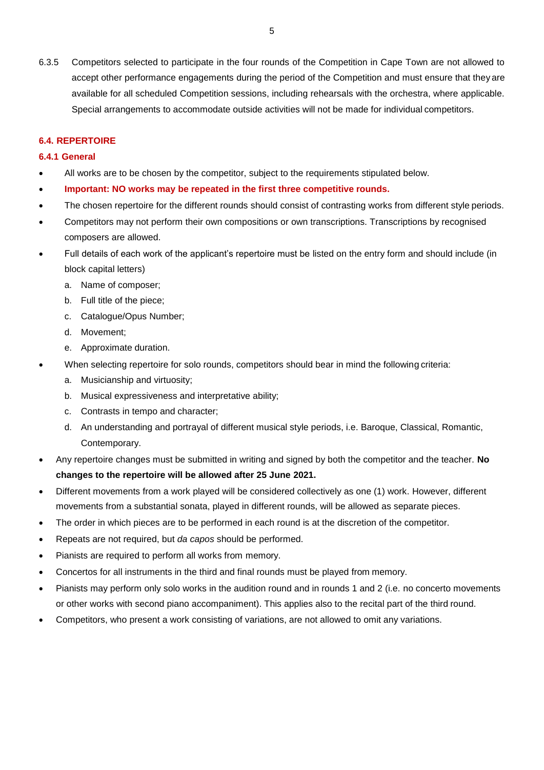6.3.5 Competitors selected to participate in the four rounds of the Competition in Cape Town are not allowed to accept other performance engagements during the period of the Competition and must ensure that they are available for all scheduled Competition sessions, including rehearsals with the orchestra, where applicable. Special arrangements to accommodate outside activities will not be made for individual competitors.

# <span id="page-5-0"></span>**6.4. REPERTOIRE**

# <span id="page-5-1"></span>**6.4.1 General**

- All works are to be chosen by the competitor, subject to the requirements stipulated below.
- **Important: NO works may be repeated in the first three competitive rounds.**
- The chosen repertoire for the different rounds should consist of contrasting works from different style periods.
- Competitors may not perform their own compositions or own transcriptions. Transcriptions by recognised composers are allowed.
- Full details of each work of the applicant's repertoire must be listed on the entry form and should include (in block capital letters)
	- a. Name of composer;
	- b. Full title of the piece;
	- c. Catalogue/Opus Number;
	- d. Movement;
	- e. Approximate duration.
- When selecting repertoire for solo rounds, competitors should bear in mind the following criteria:
	- a. Musicianship and virtuosity;
	- b. Musical expressiveness and interpretative ability;
	- c. Contrasts in tempo and character;
	- d. An understanding and portrayal of different musical style periods, i.e. Baroque, Classical, Romantic, Contemporary.
- Any repertoire changes must be submitted in writing and signed by both the competitor and the teacher. **No changes to the repertoire will be allowed after 25 June 2021.**
- Different movements from a work played will be considered collectively as one (1) work. However, different movements from a substantial sonata, played in different rounds, will be allowed as separate pieces.
- The order in which pieces are to be performed in each round is at the discretion of the competitor.
- Repeats are not required, but *da capos* should be performed.
- Pianists are required to perform all works from memory.
- Concertos for all instruments in the third and final rounds must be played from memory.
- Pianists may perform only solo works in the audition round and in rounds 1 and 2 (i.e. no concerto movements or other works with second piano accompaniment). This applies also to the recital part of the third round.
- Competitors, who present a work consisting of variations, are not allowed to omit any variations.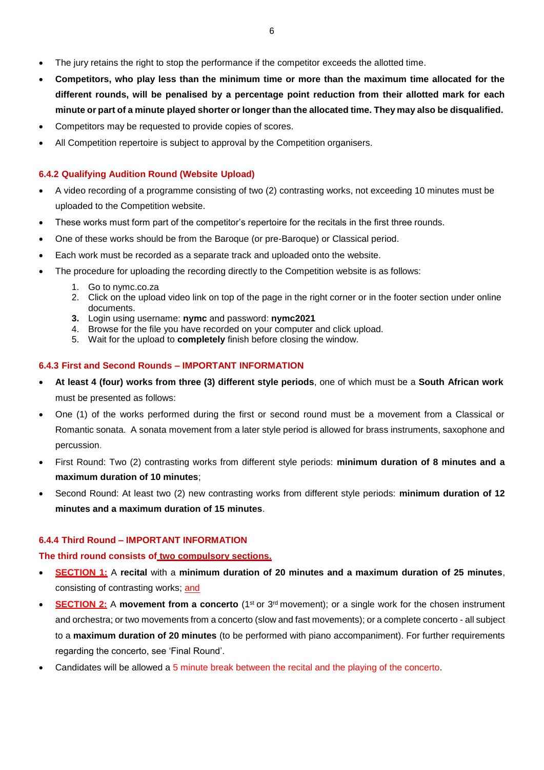- <span id="page-6-2"></span>• The jury retains the right to stop the performance if the competitor exceeds the allotted time.
- **Competitors, who play less than the minimum time or more than the maximum time allocated for the different rounds, will be penalised by a percentage point reduction from their allotted mark for each**  minute or part of a minute played shorter or longer than the allocated time. They may also be disqualified.
- Competitors may be requested to provide copies of scores.
- All Competition repertoire is subject to approval by the Competition organisers.

# <span id="page-6-0"></span>**6.4.2 Qualifying Audition Round (Website Upload)**

- A video recording of a programme consisting of two (2) contrasting works, not exceeding 10 minutes must be uploaded to the Competition website.
- These works must form part of the competitor's repertoire for the recitals in the first three rounds.
- One of these works should be from the Baroque (or pre-Baroque) or Classical period.
- Each work must be recorded as a separate track and uploaded onto the website.
- The procedure for uploading the recording directly to the Competition website is as follows:
	- 1. Go to nymc.co.za
	- 2. Click on the upload video link on top of the page in the right corner or in the footer section under online documents.
	- **3.** Login using username: **nymc** and password: **nymc2021**
	- 4. Browse for the file you have recorded on your computer and click upload.
	- 5. Wait for the upload to **completely** finish before closing the window.

# **6.4.3 First and Second Rounds – IMPORTANT INFORMATION**

- **At least 4 (four) works from three (3) different style periods**, one of which must be a **South African work** must be presented as follows:
- One (1) of the works performed during the first or second round must be a movement from a Classical or Romantic sonata. A sonata movement from a later style period is allowed for brass instruments, saxophone and percussion.
- First Round: Two (2) contrasting works from different style periods: **minimum duration of 8 minutes and a maximum duration of 10 minutes**;
- Second Round: At least two (2) new contrasting works from different style periods: **minimum duration of 12 minutes and a maximum duration of 15 minutes**.

# <span id="page-6-1"></span>**6.4.4 Third Round – IMPORTANT INFORMATION**

#### **The third round consists of two compulsory sections.**

- **SECTION 1:** A **recital** with a **minimum duration of 20 minutes and a maximum duration of 25 minutes**, consisting of contrasting works; and
- **SECTION 2:** A movement from a concerto (1<sup>st</sup> or 3<sup>rd</sup> movement); or a single work for the chosen instrument and orchestra; or two movements from a concerto (slow and fast movements); or a complete concerto - all subject to a **maximum duration of 20 minutes** (to be performed with piano accompaniment). For further requirements regarding the concerto, see 'Final Round'.
- Candidates will be allowed a 5 minute break between the recital and the playing of the concerto.